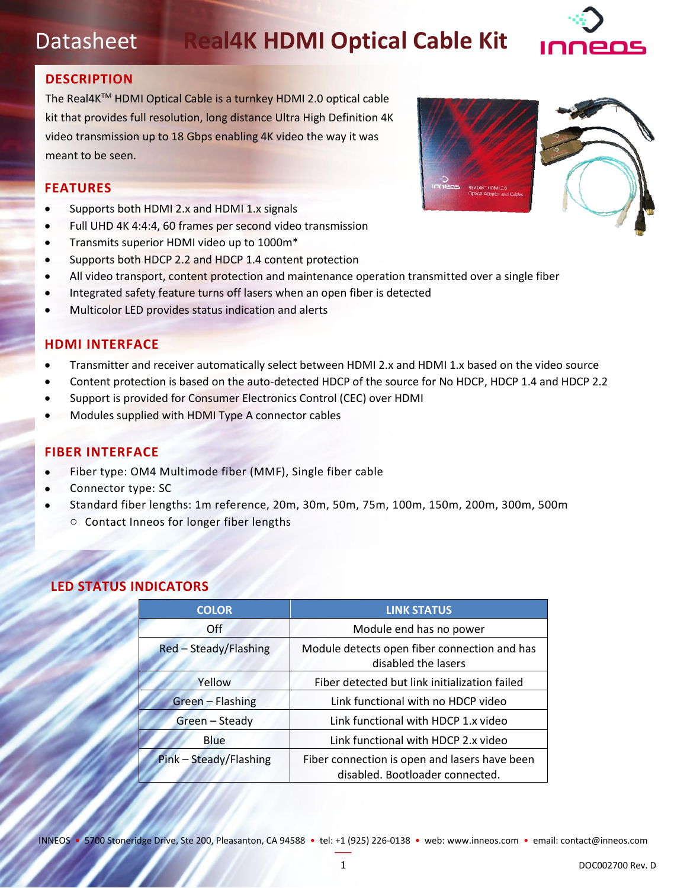# Datasheet **Real4K HDMI Optical Cable Kit**



# **DESCRIPTION**

The Real4KTM HDMI Optical Cable is a turnkey HDMI 2.0 optical cable kit that provides full resolution, long distance Ultra High Definition 4K video transmission up to 18 Gbps enabling 4K video the way it was meant to be seen.

# **FEATURES**

- Supports both HDMI 2.x and HDMI 1.x signals
- Full UHD 4K 4:4:4, 60 frames per second video transmission
- Transmits superior HDMI video up to 1000m\*
- Supports both HDCP 2.2 and HDCP 1.4 content protection
- All video transport, content protection and maintenance operation transmitted over a single fiber
- Integrated safety feature turns off lasers when an open fiber is detected
- Multicolor LED provides status indication and alerts

### **HDMI INTERFACE**

- Transmitter and receiver automatically select between HDMI 2.x and HDMI 1.x based on the video source
- Content protection is based on the auto-detected HDCP of the source for No HDCP, HDCP 1.4 and HDCP 2.2
- Support is provided for Consumer Electronics Control (CEC) over HDMI
- Modules supplied with HDMI Type A connector cables

### **FIBER INTERFACE**

- Fiber type: OM4 Multimode fiber (MMF), Single fiber cable
- Connector type: SC
- Standard fiber lengths: 1m reference, 20m, 30m, 50m, 75m, 100m, 150m, 200m, 300m, 500m o Contact Inneos for longer fiber lengths

# **LED STATUS INDICATORS**

| <b>COLOR</b>           | <b>LINK STATUS</b>                                                               |  |  |
|------------------------|----------------------------------------------------------------------------------|--|--|
| Off                    | Module end has no power                                                          |  |  |
| Red - Steady/Flashing  | Module detects open fiber connection and has<br>disabled the lasers              |  |  |
| Yellow                 | Fiber detected but link initialization failed                                    |  |  |
| Green - Flashing       | Link functional with no HDCP video                                               |  |  |
| Green - Steady         | Link functional with HDCP 1.x video                                              |  |  |
| Blue                   | Link functional with HDCP 2.x video                                              |  |  |
| Pink - Steady/Flashing | Fiber connection is open and lasers have been<br>disabled. Bootloader connected. |  |  |